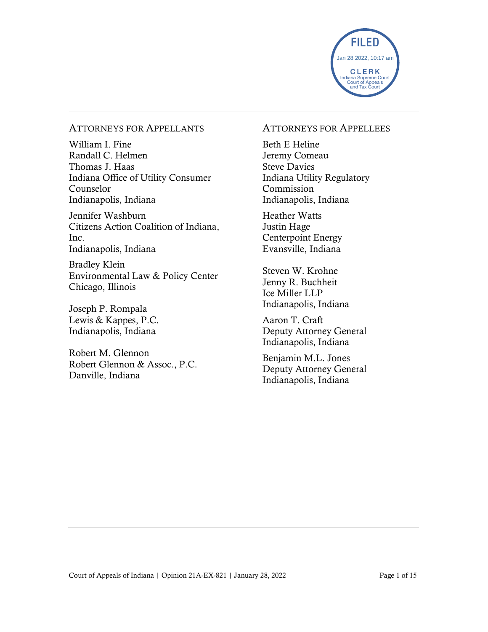

#### ATTORNEYS FOR APPELLANTS

William I. Fine Randall C. Helmen Thomas J. Haas Indiana Office of Utility Consumer Counselor Indianapolis, Indiana

Jennifer Washburn Citizens Action Coalition of Indiana, Inc. Indianapolis, Indiana

Bradley Klein Environmental Law & Policy Center Chicago, Illinois

Joseph P. Rompala Lewis & Kappes, P.C. Indianapolis, Indiana

Robert M. Glennon Robert Glennon & Assoc., P.C. Danville, Indiana

#### ATTORNEYS FOR APPELLEES

Beth E Heline Jeremy Comeau Steve Davies Indiana Utility Regulatory Commission Indianapolis, Indiana

Heather Watts Justin Hage Centerpoint Energy Evansville, Indiana

Steven W. Krohne Jenny R. Buchheit Ice Miller LLP Indianapolis, Indiana

Aaron T. Craft Deputy Attorney General Indianapolis, Indiana

Benjamin M.L. Jones Deputy Attorney General Indianapolis, Indiana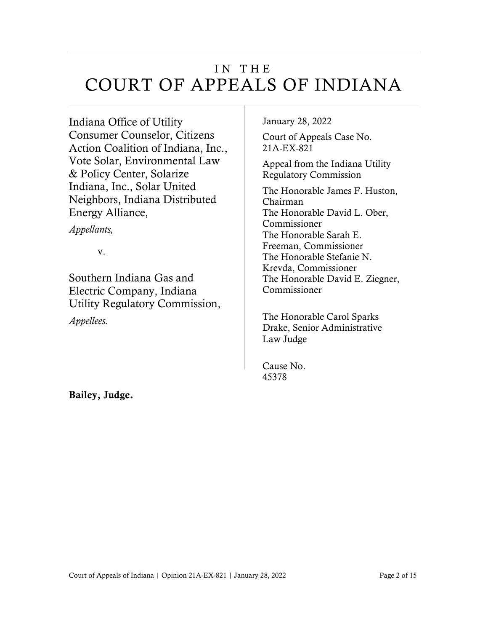## IN THE COURT OF APPEALS OF INDIANA

Indiana Office of Utility Consumer Counselor, Citizens Action Coalition of Indiana, Inc., Vote Solar, Environmental Law & Policy Center, Solarize Indiana, Inc., Solar United Neighbors, Indiana Distributed Energy Alliance,

*Appellants,*

v.

Southern Indiana Gas and Electric Company, Indiana Utility Regulatory Commission,

*Appellees.*

January 28, 2022

Court of Appeals Case No. 21A-EX-821

Appeal from the Indiana Utility Regulatory Commission

The Honorable James F. Huston, Chairman The Honorable David L. Ober, Commissioner The Honorable Sarah E. Freeman, Commissioner The Honorable Stefanie N. Krevda, Commissioner The Honorable David E. Ziegner, Commissioner

The Honorable Carol Sparks Drake, Senior Administrative Law Judge

Cause No. 45378

Bailey, Judge.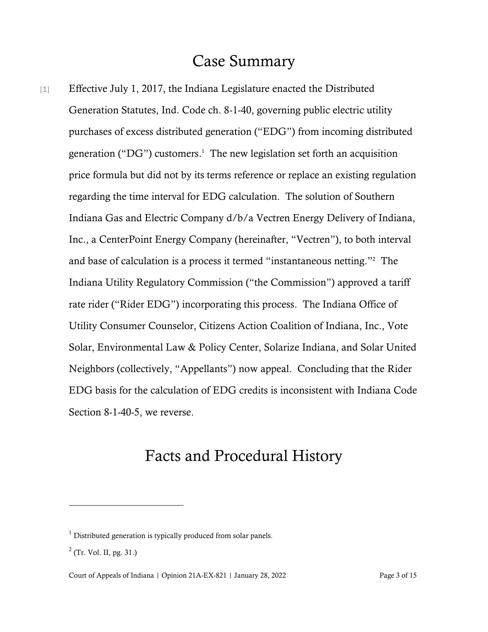## Case Summary

[1] Effective July 1, 2017, the Indiana Legislature enacted the Distributed Generation Statutes, Ind. Code ch. 8-1-40, governing public electric utility purchases of excess distributed generation ("EDG") from incoming distributed generation ("DG") customers. 1 The new legislation set forth an acquisition price formula but did not by its terms reference or replace an existing regulation regarding the time interval for EDG calculation. The solution of Southern Indiana Gas and Electric Company d/b/a Vectren Energy Delivery of Indiana, Inc., a CenterPoint Energy Company (hereinafter, "Vectren"), to both interval and base of calculation is a process it termed "instantaneous netting."<sup>2</sup> The Indiana Utility Regulatory Commission ("the Commission") approved a tariff rate rider ("Rider EDG") incorporating this process. The Indiana Office of Utility Consumer Counselor, Citizens Action Coalition of Indiana, Inc., Vote Solar, Environmental Law & Policy Center, Solarize Indiana, and Solar United Neighbors (collectively, "Appellants") now appeal. Concluding that the Rider EDG basis for the calculation of EDG credits is inconsistent with Indiana Code Section 8-1-40-5, we reverse.

## Facts and Procedural History

 $1$  Distributed generation is typically produced from solar panels.

 $2$  (Tr. Vol. II, pg. 31.)

Court of Appeals of Indiana | Opinion 21A-EX-821 | January 28, 2022 Page 3 of 15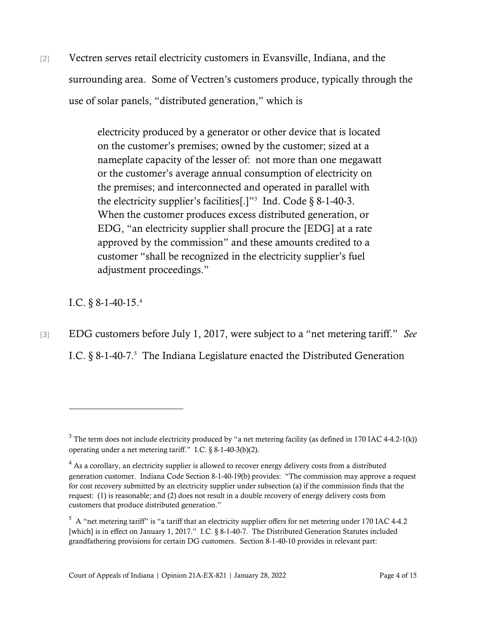[2] Vectren serves retail electricity customers in Evansville, Indiana, and the surrounding area. Some of Vectren's customers produce, typically through the use of solar panels, "distributed generation," which is

> electricity produced by a generator or other device that is located on the customer's premises; owned by the customer; sized at a nameplate capacity of the lesser of: not more than one megawatt or the customer's average annual consumption of electricity on the premises; and interconnected and operated in parallel with the electricity supplier's facilities[.]"<sup>3</sup> Ind. Code  $\S$  8-1-40-3. When the customer produces excess distributed generation, or EDG, "an electricity supplier shall procure the [EDG] at a rate approved by the commission" and these amounts credited to a customer "shall be recognized in the electricity supplier's fuel adjustment proceedings."

I.C. § 8-1-40-15. 4

[3] EDG customers before July 1, 2017, were subject to a "net metering tariff." *See* I.C. § 8-1-40-7.<sup>5</sup> The Indiana Legislature enacted the Distributed Generation

 $3$  The term does not include electricity produced by "a net metering facility (as defined in 170 IAC 4-4.2-1(k)) operating under a net metering tariff." I.C. § 8-1-40-3(b)(2).

 $4$  As a corollary, an electricity supplier is allowed to recover energy delivery costs from a distributed generation customer. Indiana Code Section 8-1-40-19(b) provides: "The commission may approve a request for cost recovery submitted by an electricity supplier under subsection (a) if the commission finds that the request: (1) is reasonable; and (2) does not result in a double recovery of energy delivery costs from customers that produce distributed generation."

 $5\,$  A "net metering tariff" is "a tariff that an electricity supplier offers for net metering under 170 IAC 4-4.2 [which] is in effect on January 1, 2017." I.C. § 8-1-40-7. The Distributed Generation Statutes included grandfathering provisions for certain DG customers. Section 8-1-40-10 provides in relevant part: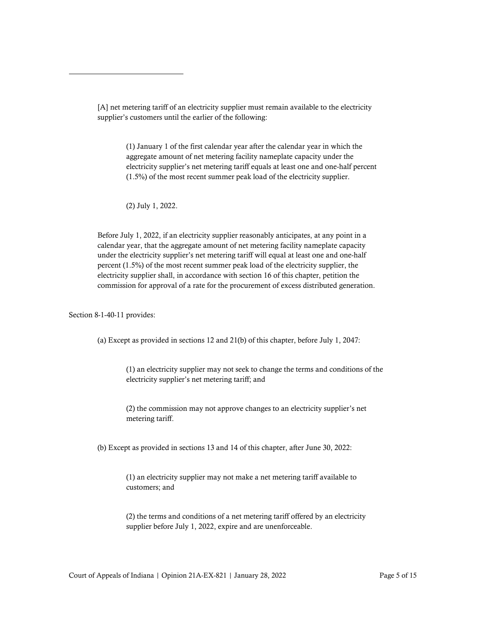[A] net metering tariff of an electricity supplier must remain available to the electricity supplier's customers until the earlier of the following:

> (1) January 1 of the first calendar year after the calendar year in which the aggregate amount of net metering facility nameplate capacity under the electricity supplier's net metering tariff equals at least one and one-half percent (1.5%) of the most recent summer peak load of the electricity supplier.

(2) July 1, 2022.

Before July 1, 2022, if an electricity supplier reasonably anticipates, at any point in a calendar year, that the aggregate amount of net metering facility nameplate capacity under the electricity supplier's net metering tariff will equal at least one and one-half percent (1.5%) of the most recent summer peak load of the electricity supplier, the electricity supplier shall, in accordance with section 16 of this chapter, petition the commission for approval of a rate for the procurement of excess distributed generation.

Section 8-1-40-11 provides:

(a) Except as provided in sections 12 and 21(b) of this chapter, before July 1, 2047:

(1) an electricity supplier may not seek to change the terms and conditions of the electricity supplier's net metering tariff; and

(2) the commission may not approve changes to an electricity supplier's net metering tariff.

(b) Except as provided in sections 13 and 14 of this chapter, after June 30, 2022:

(1) an electricity supplier may not make a net metering tariff available to customers; and

(2) the terms and conditions of a net metering tariff offered by an electricity supplier before July 1, 2022, expire and are unenforceable.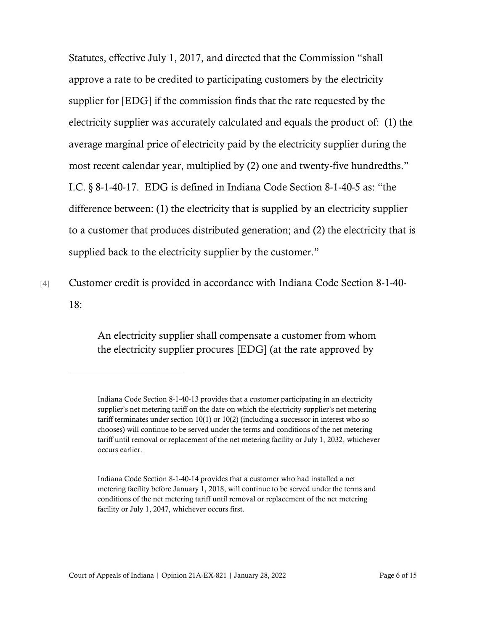Statutes, effective July 1, 2017, and directed that the Commission "shall approve a rate to be credited to participating customers by the electricity supplier for [EDG] if the commission finds that the rate requested by the electricity supplier was accurately calculated and equals the product of: (1) the average marginal price of electricity paid by the electricity supplier during the most recent calendar year, multiplied by (2) one and twenty-five hundredths." I.C. § 8-1-40-17. EDG is defined in Indiana Code Section 8-1-40-5 as: "the difference between: (1) the electricity that is supplied by an electricity supplier to a customer that produces distributed generation; and (2) the electricity that is supplied back to the electricity supplier by the customer."

[4] Customer credit is provided in accordance with Indiana Code Section 8-1-40- 18:

> An electricity supplier shall compensate a customer from whom the electricity supplier procures [EDG] (at the rate approved by

Indiana Code Section 8-1-40-13 provides that a customer participating in an electricity supplier's net metering tariff on the date on which the electricity supplier's net metering tariff terminates under section 10(1) or 10(2) (including a successor in interest who so chooses) will continue to be served under the terms and conditions of the net metering tariff until removal or replacement of the net metering facility or July 1, 2032, whichever occurs earlier.

Indiana Code Section 8-1-40-14 provides that a customer who had installed a net metering facility before January 1, 2018, will continue to be served under the terms and conditions of the net metering tariff until removal or replacement of the net metering facility or July 1, 2047, whichever occurs first.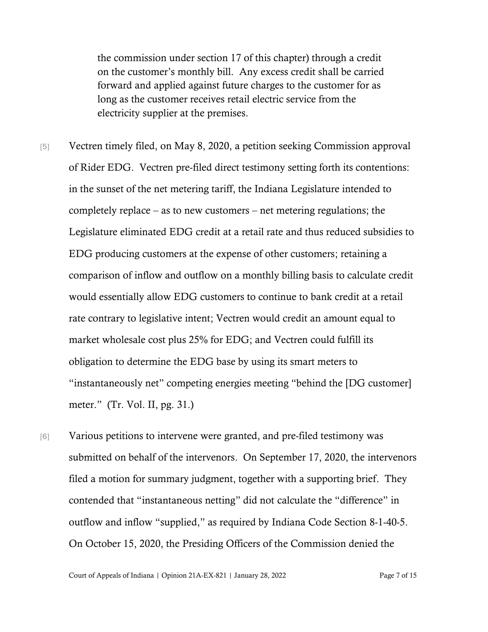the commission under section 17 of this chapter) through a credit on the customer's monthly bill. Any excess credit shall be carried forward and applied against future charges to the customer for as long as the customer receives retail electric service from the electricity supplier at the premises.

[5] Vectren timely filed, on May 8, 2020, a petition seeking Commission approval of Rider EDG. Vectren pre-filed direct testimony setting forth its contentions: in the sunset of the net metering tariff, the Indiana Legislature intended to completely replace – as to new customers – net metering regulations; the Legislature eliminated EDG credit at a retail rate and thus reduced subsidies to EDG producing customers at the expense of other customers; retaining a comparison of inflow and outflow on a monthly billing basis to calculate credit would essentially allow EDG customers to continue to bank credit at a retail rate contrary to legislative intent; Vectren would credit an amount equal to market wholesale cost plus 25% for EDG; and Vectren could fulfill its obligation to determine the EDG base by using its smart meters to "instantaneously net" competing energies meeting "behind the [DG customer] meter." (Tr. Vol. II, pg. 31.)

[6] Various petitions to intervene were granted, and pre-filed testimony was submitted on behalf of the intervenors. On September 17, 2020, the intervenors filed a motion for summary judgment, together with a supporting brief. They contended that "instantaneous netting" did not calculate the "difference" in outflow and inflow "supplied," as required by Indiana Code Section 8-1-40-5. On October 15, 2020, the Presiding Officers of the Commission denied the

Court of Appeals of Indiana | Opinion 21A-EX-821 | January 28, 2022 Page 7 of 15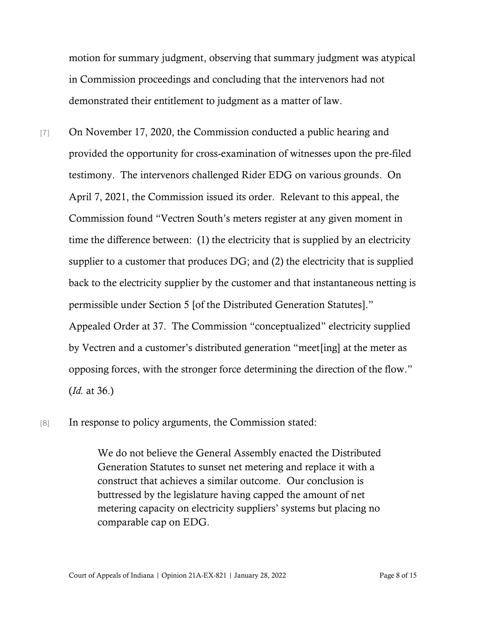motion for summary judgment, observing that summary judgment was atypical in Commission proceedings and concluding that the intervenors had not demonstrated their entitlement to judgment as a matter of law.

- [7] On November 17, 2020, the Commission conducted a public hearing and provided the opportunity for cross-examination of witnesses upon the pre-filed testimony. The intervenors challenged Rider EDG on various grounds. On April 7, 2021, the Commission issued its order. Relevant to this appeal, the Commission found "Vectren South's meters register at any given moment in time the difference between: (1) the electricity that is supplied by an electricity supplier to a customer that produces DG; and (2) the electricity that is supplied back to the electricity supplier by the customer and that instantaneous netting is permissible under Section 5 [of the Distributed Generation Statutes]." Appealed Order at 37. The Commission "conceptualized" electricity supplied by Vectren and a customer's distributed generation "meet[ing] at the meter as opposing forces, with the stronger force determining the direction of the flow." (*Id.* at 36.)
- [8] In response to policy arguments, the Commission stated:

We do not believe the General Assembly enacted the Distributed Generation Statutes to sunset net metering and replace it with a construct that achieves a similar outcome. Our conclusion is buttressed by the legislature having capped the amount of net metering capacity on electricity suppliers' systems but placing no comparable cap on EDG.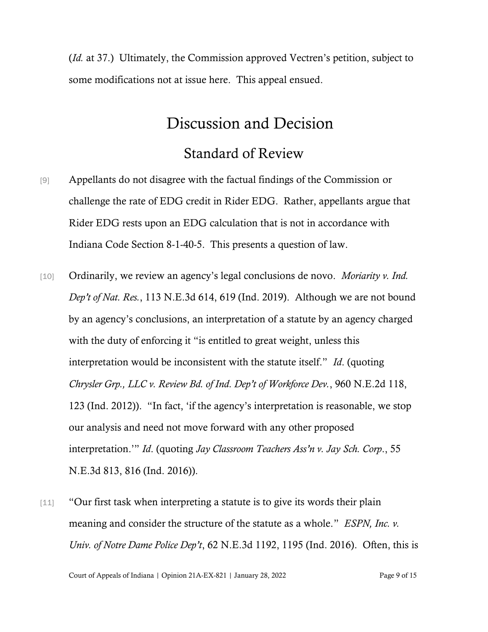(*Id.* at 37.) Ultimately, the Commission approved Vectren's petition, subject to some modifications not at issue here. This appeal ensued.

# Discussion and Decision

### Standard of Review

- [9] Appellants do not disagree with the factual findings of the Commission or challenge the rate of EDG credit in Rider EDG. Rather, appellants argue that Rider EDG rests upon an EDG calculation that is not in accordance with Indiana Code Section 8-1-40-5. This presents a question of law.
- [10] Ordinarily, we review an agency's legal conclusions de novo. *Moriarity v. Ind. Dep't of Nat. Res.*, 113 N.E.3d 614, 619 (Ind. 2019). Although we are not bound by an agency's conclusions, an interpretation of a statute by an agency charged with the duty of enforcing it "is entitled to great weight, unless this interpretation would be inconsistent with the statute itself." *Id*. (quoting *Chrysler Grp., LLC v. Review Bd. of Ind. Dep't of Workforce Dev.*, 960 N.E.2d 118, 123 (Ind. 2012)). "In fact, 'if the agency's interpretation is reasonable, we stop our analysis and need not move forward with any other proposed interpretation.'" *Id*. (quoting *Jay Classroom Teachers Ass'n v. Jay Sch. Corp*., 55 N.E.3d 813, 816 (Ind. 2016)).
- [11] "Our first task when interpreting a statute is to give its words their plain meaning and consider the structure of the statute as a whole." *ESPN, Inc. v. Univ. of Notre Dame Police Dep't*, 62 N.E.3d 1192, 1195 (Ind. 2016). Often, this is

Court of Appeals of Indiana | Opinion 21A-EX-821 | January 28, 2022 Page 9 of 15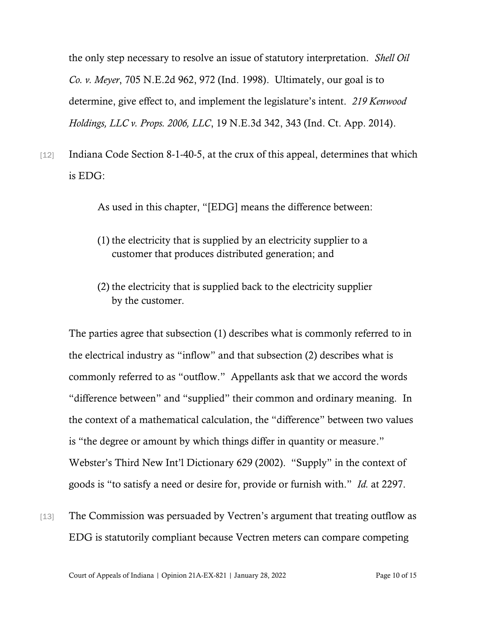the only step necessary to resolve an issue of statutory interpretation. *Shell Oil Co. v. Meyer*, 705 N.E.2d 962, 972 (Ind. 1998). Ultimately, our goal is to determine, give effect to, and implement the legislature's intent. *219 Kenwood Holdings, LLC v. Props. 2006, LLC*, 19 N.E.3d 342, 343 (Ind. Ct. App. 2014).

[12] Indiana Code Section 8-1-40-5, at the crux of this appeal, determines that which is EDG:

As used in this chapter, "[EDG] means the difference between:

- (1) the electricity that is supplied by an electricity supplier to a customer that produces distributed generation; and
- (2) the electricity that is supplied back to the electricity supplier by the customer.

The parties agree that subsection (1) describes what is commonly referred to in the electrical industry as "inflow" and that subsection (2) describes what is commonly referred to as "outflow." Appellants ask that we accord the words "difference between" and "supplied" their common and ordinary meaning. In the context of a mathematical calculation, the "difference" between two values is "the degree or amount by which things differ in quantity or measure." Webster's Third New Int'l Dictionary 629 (2002). "Supply" in the context of goods is "to satisfy a need or desire for, provide or furnish with." *Id.* at 2297.

[13] The Commission was persuaded by Vectren's argument that treating outflow as EDG is statutorily compliant because Vectren meters can compare competing

Court of Appeals of Indiana | Opinion 21A-EX-821 | January 28, 2022 Page 10 of 15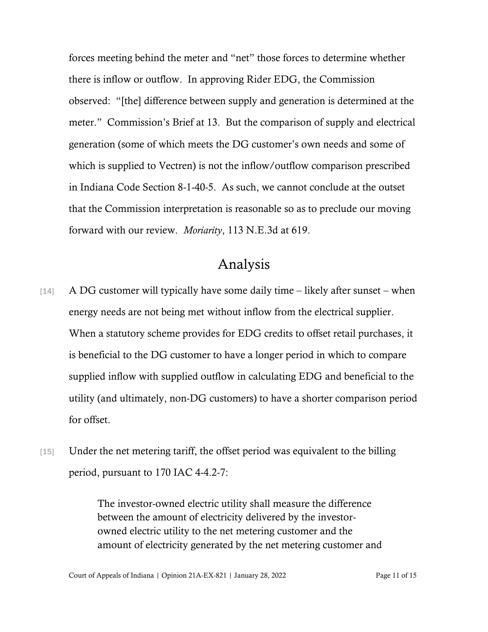forces meeting behind the meter and "net" those forces to determine whether there is inflow or outflow. In approving Rider EDG, the Commission observed: "[the] difference between supply and generation is determined at the meter." Commission's Brief at 13. But the comparison of supply and electrical generation (some of which meets the DG customer's own needs and some of which is supplied to Vectren) is not the inflow/outflow comparison prescribed in Indiana Code Section 8-1-40-5. As such, we cannot conclude at the outset that the Commission interpretation is reasonable so as to preclude our moving forward with our review. *Moriarity*, 113 N.E.3d at 619.

### Analysis

- [14] A DG customer will typically have some daily time likely after sunset when energy needs are not being met without inflow from the electrical supplier. When a statutory scheme provides for EDG credits to offset retail purchases, it is beneficial to the DG customer to have a longer period in which to compare supplied inflow with supplied outflow in calculating EDG and beneficial to the utility (and ultimately, non-DG customers) to have a shorter comparison period for offset.
- [15] Under the net metering tariff, the offset period was equivalent to the billing period, pursuant to 170 IAC 4-4.2-7:

The investor-owned electric utility shall measure the difference between the amount of electricity delivered by the investorowned electric utility to the net metering customer and the amount of electricity generated by the net metering customer and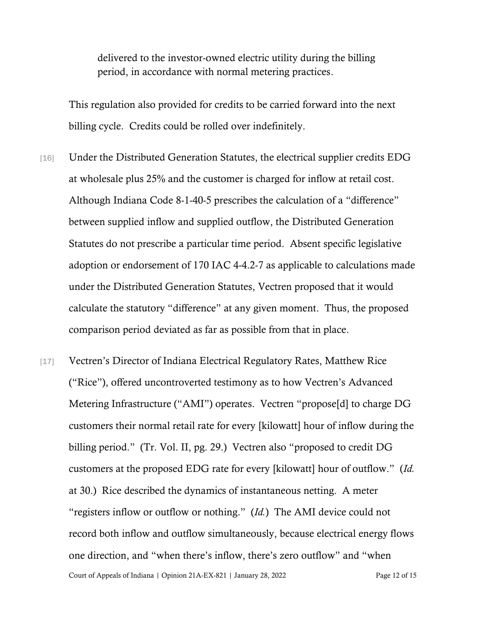delivered to the investor-owned electric utility during the billing period, in accordance with normal metering practices.

This regulation also provided for credits to be carried forward into the next billing cycle. Credits could be rolled over indefinitely.

- [16] Under the Distributed Generation Statutes, the electrical supplier credits EDG at wholesale plus 25% and the customer is charged for inflow at retail cost. Although Indiana Code 8-1-40-5 prescribes the calculation of a "difference" between supplied inflow and supplied outflow, the Distributed Generation Statutes do not prescribe a particular time period. Absent specific legislative adoption or endorsement of 170 IAC 4-4.2-7 as applicable to calculations made under the Distributed Generation Statutes, Vectren proposed that it would calculate the statutory "difference" at any given moment. Thus, the proposed comparison period deviated as far as possible from that in place.
- Court of Appeals of Indiana | Opinion 21A-EX-821 | January 28, 2022 Page 12 of 15 [17] Vectren's Director of Indiana Electrical Regulatory Rates, Matthew Rice ("Rice"), offered uncontroverted testimony as to how Vectren's Advanced Metering Infrastructure ("AMI") operates. Vectren "propose[d] to charge DG customers their normal retail rate for every [kilowatt] hour of inflow during the billing period." (Tr. Vol. II, pg. 29.) Vectren also "proposed to credit DG customers at the proposed EDG rate for every [kilowatt] hour of outflow." (*Id.* at 30.) Rice described the dynamics of instantaneous netting. A meter "registers inflow or outflow or nothing." (*Id.*) The AMI device could not record both inflow and outflow simultaneously, because electrical energy flows one direction, and "when there's inflow, there's zero outflow" and "when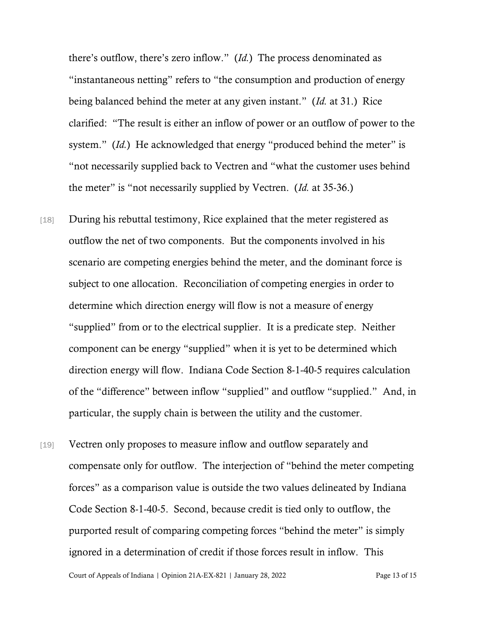there's outflow, there's zero inflow." (*Id.*) The process denominated as "instantaneous netting" refers to "the consumption and production of energy being balanced behind the meter at any given instant." (*Id.* at 31.) Rice clarified: "The result is either an inflow of power or an outflow of power to the system." *(Id.)* He acknowledged that energy "produced behind the meter" is "not necessarily supplied back to Vectren and "what the customer uses behind the meter" is "not necessarily supplied by Vectren. (*Id.* at 35-36.)

- [18] During his rebuttal testimony, Rice explained that the meter registered as outflow the net of two components. But the components involved in his scenario are competing energies behind the meter, and the dominant force is subject to one allocation. Reconciliation of competing energies in order to determine which direction energy will flow is not a measure of energy "supplied" from or to the electrical supplier. It is a predicate step. Neither component can be energy "supplied" when it is yet to be determined which direction energy will flow. Indiana Code Section 8-1-40-5 requires calculation of the "difference" between inflow "supplied" and outflow "supplied." And, in particular, the supply chain is between the utility and the customer.
- [19] Vectren only proposes to measure inflow and outflow separately and compensate only for outflow. The interjection of "behind the meter competing forces" as a comparison value is outside the two values delineated by Indiana Code Section 8-1-40-5. Second, because credit is tied only to outflow, the purported result of comparing competing forces "behind the meter" is simply ignored in a determination of credit if those forces result in inflow. This

Court of Appeals of Indiana | Opinion 21A-EX-821 | January 28, 2022 Page 13 of 15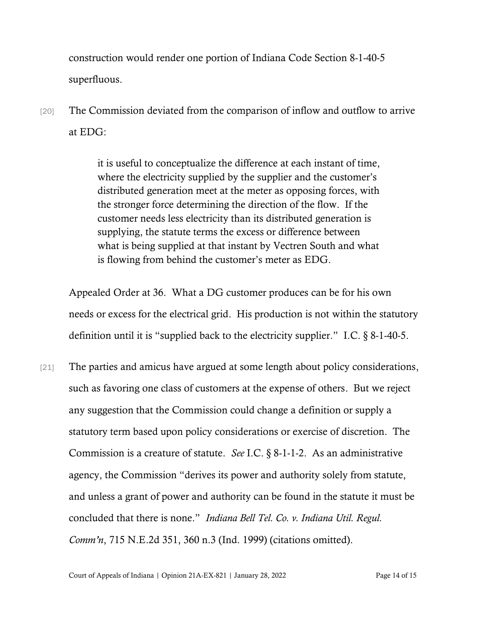construction would render one portion of Indiana Code Section 8-1-40-5 superfluous.

[20] The Commission deviated from the comparison of inflow and outflow to arrive at EDG:

> it is useful to conceptualize the difference at each instant of time, where the electricity supplied by the supplier and the customer's distributed generation meet at the meter as opposing forces, with the stronger force determining the direction of the flow. If the customer needs less electricity than its distributed generation is supplying, the statute terms the excess or difference between what is being supplied at that instant by Vectren South and what is flowing from behind the customer's meter as EDG.

Appealed Order at 36. What a DG customer produces can be for his own needs or excess for the electrical grid. His production is not within the statutory definition until it is "supplied back to the electricity supplier." I.C. § 8-1-40-5.

[21] The parties and amicus have argued at some length about policy considerations, such as favoring one class of customers at the expense of others. But we reject any suggestion that the Commission could change a definition or supply a statutory term based upon policy considerations or exercise of discretion. The Commission is a creature of statute. *See* I.C. § 8-1-1-2. As an administrative agency, the Commission "derives its power and authority solely from statute, and unless a grant of power and authority can be found in the statute it must be concluded that there is none." *Indiana Bell Tel. Co. v. Indiana Util. Regul. Comm'n*, 715 N.E.2d 351, 360 n.3 (Ind. 1999) (citations omitted).